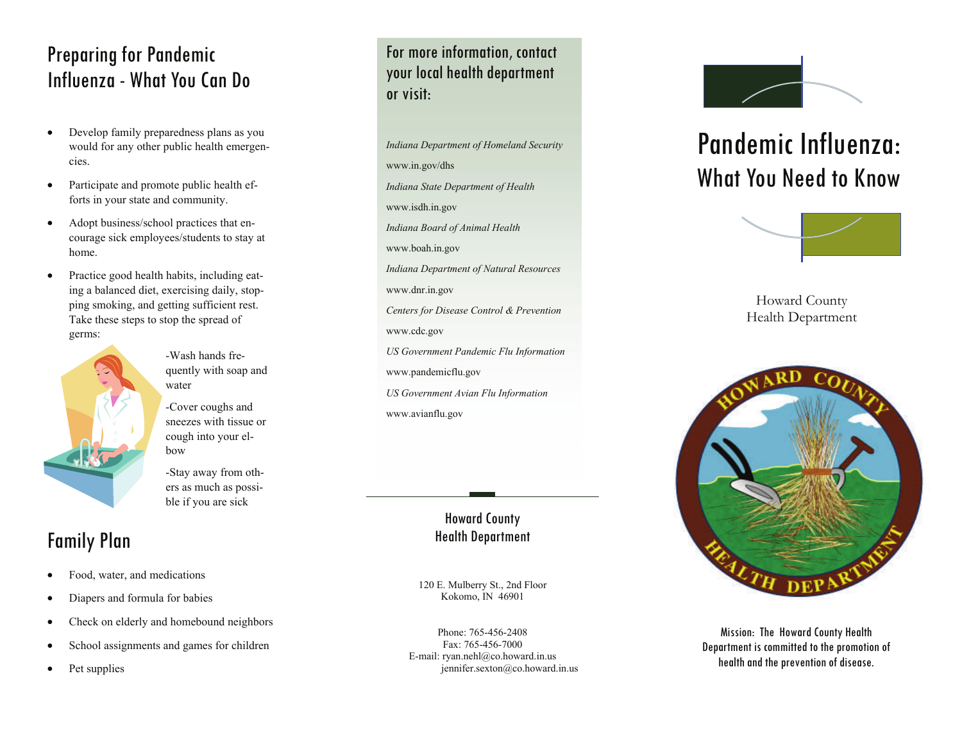## Preparing for Pandemic Influenza - What You Can Do

- Develop family preparedness plans as you would for any other public health emergencies.
- Participate and promote public health efforts in your state and community.
- Adopt business/school practices that encourage sick employees/students to stay at home.
- Practice good health habits, including eating a balanced diet, exercising daily, stopping smoking, and getting sufficient rest. Take these steps to stop the spread of germs:



- -Wash hands frequently with soap and water
- -Cover coughs and sneezes with tissue or cough into your elbow
- -Stay away from others as much as possible if you are sick

## Family Plan

- Food, water, and medications
- Diapers and formula for babies
- Check on elderly and homebound neighbors
- School assignments and games for children
- Pet supplies

For more information, contact your local health department or visit:

*Indiana Department of Homeland Security*  www.in.gov/dhs *Indiana State Department of Health*  www.isdh.in.gov *Indiana Board of Animal Health*  www.boah.in.gov *Indiana Department of Natural Resources*  www.dnr.in.gov *Centers for Disease Control & Prevention*  www.cdc.gov *US Government Pandemic Flu Information*  www.pandemicflu.gov *US Government Avian Flu Information*  www.avianflu.gov

#### Howard County Health Department

120 E. Mulberry St., 2nd Floor Kokomo, IN 46901

Phone: 765-456-2408 Fax: 765-456-7000 E-mail: ryan.nehl@co.howard.in.us jennifer.sexton@co.howard.in.us



# Pandemic Influenza: What You Need to Know



Howard County Health Department



Mission: The Howard County Health Department is committed to the promotion of health and the prevention of disease.